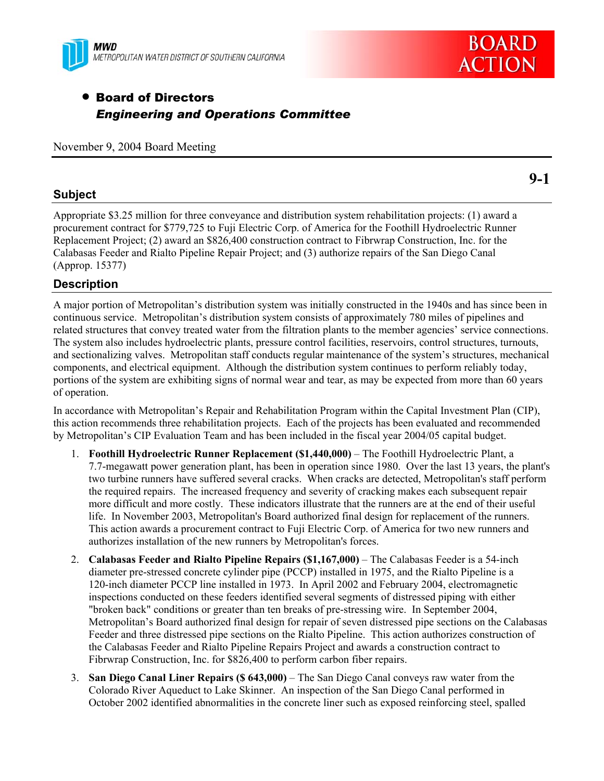



# • Board of Directors *Engineering and Operations Committee*

November 9, 2004 Board Meeting

## **Subject**

Appropriate \$3.25 million for three conveyance and distribution system rehabilitation projects: (1) award a procurement contract for \$779,725 to Fuji Electric Corp. of America for the Foothill Hydroelectric Runner Replacement Project; (2) award an \$826,400 construction contract to Fibrwrap Construction, Inc. for the Calabasas Feeder and Rialto Pipeline Repair Project; and (3) authorize repairs of the San Diego Canal (Approp. 15377)

## **Description**

A major portion of Metropolitan's distribution system was initially constructed in the 1940s and has since been in continuous service. Metropolitan's distribution system consists of approximately 780 miles of pipelines and related structures that convey treated water from the filtration plants to the member agencies' service connections. The system also includes hydroelectric plants, pressure control facilities, reservoirs, control structures, turnouts, and sectionalizing valves. Metropolitan staff conducts regular maintenance of the system's structures, mechanical components, and electrical equipment. Although the distribution system continues to perform reliably today, portions of the system are exhibiting signs of normal wear and tear, as may be expected from more than 60 years of operation.

In accordance with Metropolitan's Repair and Rehabilitation Program within the Capital Investment Plan (CIP), this action recommends three rehabilitation projects. Each of the projects has been evaluated and recommended by Metropolitan's CIP Evaluation Team and has been included in the fiscal year 2004/05 capital budget.

- 1. **Foothill Hydroelectric Runner Replacement (\$1,440,000)** The Foothill Hydroelectric Plant, a 7.7-megawatt power generation plant, has been in operation since 1980. Over the last 13 years, the plant's two turbine runners have suffered several cracks. When cracks are detected, Metropolitan's staff perform the required repairs. The increased frequency and severity of cracking makes each subsequent repair more difficult and more costly. These indicators illustrate that the runners are at the end of their useful life. In November 2003, Metropolitan's Board authorized final design for replacement of the runners. This action awards a procurement contract to Fuji Electric Corp. of America for two new runners and authorizes installation of the new runners by Metropolitan's forces.
- 2. **Calabasas Feeder and Rialto Pipeline Repairs (\$1,167,000)** The Calabasas Feeder is a 54-inch diameter pre-stressed concrete cylinder pipe (PCCP) installed in 1975, and the Rialto Pipeline is a 120-inch diameter PCCP line installed in 1973. In April 2002 and February 2004, electromagnetic inspections conducted on these feeders identified several segments of distressed piping with either "broken back" conditions or greater than ten breaks of pre-stressing wire. In September 2004, Metropolitan's Board authorized final design for repair of seven distressed pipe sections on the Calabasas Feeder and three distressed pipe sections on the Rialto Pipeline. This action authorizes construction of the Calabasas Feeder and Rialto Pipeline Repairs Project and awards a construction contract to Fibrwrap Construction, Inc. for \$826,400 to perform carbon fiber repairs.
- 3. **San Diego Canal Liner Repairs (\$ 643,000)** The San Diego Canal conveys raw water from the Colorado River Aqueduct to Lake Skinner. An inspection of the San Diego Canal performed in October 2002 identified abnormalities in the concrete liner such as exposed reinforcing steel, spalled

**9-1**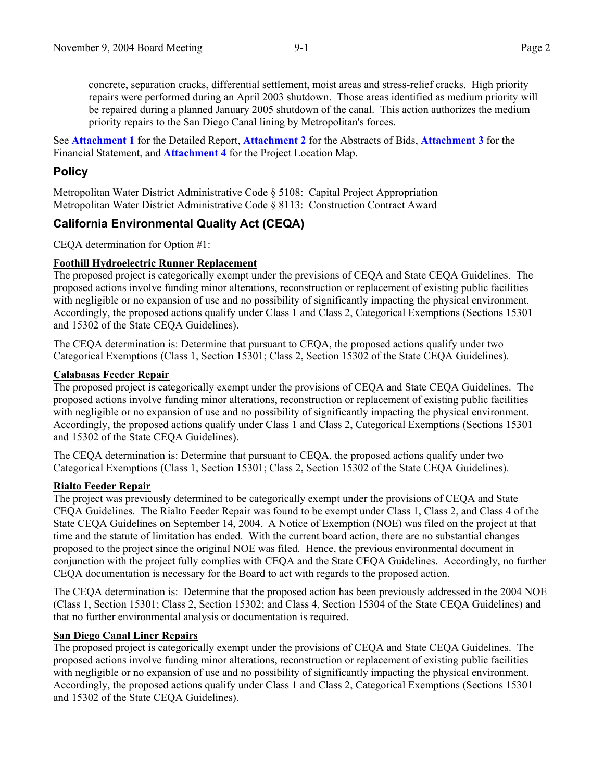concrete, separation cracks, differential settlement, moist areas and stress-relief cracks. High priority repairs were performed during an April 2003 shutdown. Those areas identified as medium priority will be repaired during a planned January 2005 shutdown of the canal. This action authorizes the medium priority repairs to the San Diego Canal lining by Metropolitan's forces.

See **Attachment 1** for the Detailed Report, **Attachment 2** for the Abstracts of Bids, **Attachment 3** for the Financial Statement, and **Attachment 4** for the Project Location Map.

## **Policy**

Metropolitan Water District Administrative Code § 5108: Capital Project Appropriation Metropolitan Water District Administrative Code § 8113: Construction Contract Award

## **California Environmental Quality Act (CEQA)**

CEQA determination for Option #1:

### **Foothill Hydroelectric Runner Replacement**

The proposed project is categorically exempt under the previsions of CEQA and State CEQA Guidelines. The proposed actions involve funding minor alterations, reconstruction or replacement of existing public facilities with negligible or no expansion of use and no possibility of significantly impacting the physical environment. Accordingly, the proposed actions qualify under Class 1 and Class 2, Categorical Exemptions (Sections 15301 and 15302 of the State CEQA Guidelines).

The CEQA determination is: Determine that pursuant to CEQA, the proposed actions qualify under two Categorical Exemptions (Class 1, Section 15301; Class 2, Section 15302 of the State CEQA Guidelines).

#### **Calabasas Feeder Repair**

The proposed project is categorically exempt under the provisions of CEQA and State CEQA Guidelines. The proposed actions involve funding minor alterations, reconstruction or replacement of existing public facilities with negligible or no expansion of use and no possibility of significantly impacting the physical environment. Accordingly, the proposed actions qualify under Class 1 and Class 2, Categorical Exemptions (Sections 15301 and 15302 of the State CEQA Guidelines).

The CEQA determination is: Determine that pursuant to CEQA, the proposed actions qualify under two Categorical Exemptions (Class 1, Section 15301; Class 2, Section 15302 of the State CEQA Guidelines).

#### **Rialto Feeder Repair**

The project was previously determined to be categorically exempt under the provisions of CEQA and State CEQA Guidelines. The Rialto Feeder Repair was found to be exempt under Class 1, Class 2, and Class 4 of the State CEQA Guidelines on September 14, 2004. A Notice of Exemption (NOE) was filed on the project at that time and the statute of limitation has ended. With the current board action, there are no substantial changes proposed to the project since the original NOE was filed. Hence, the previous environmental document in conjunction with the project fully complies with CEQA and the State CEQA Guidelines. Accordingly, no further CEQA documentation is necessary for the Board to act with regards to the proposed action.

The CEQA determination is: Determine that the proposed action has been previously addressed in the 2004 NOE (Class 1, Section 15301; Class 2, Section 15302; and Class 4, Section 15304 of the State CEQA Guidelines) and that no further environmental analysis or documentation is required.

#### **San Diego Canal Liner Repairs**

The proposed project is categorically exempt under the provisions of CEQA and State CEQA Guidelines. The proposed actions involve funding minor alterations, reconstruction or replacement of existing public facilities with negligible or no expansion of use and no possibility of significantly impacting the physical environment. Accordingly, the proposed actions qualify under Class 1 and Class 2, Categorical Exemptions (Sections 15301 and 15302 of the State CEQA Guidelines).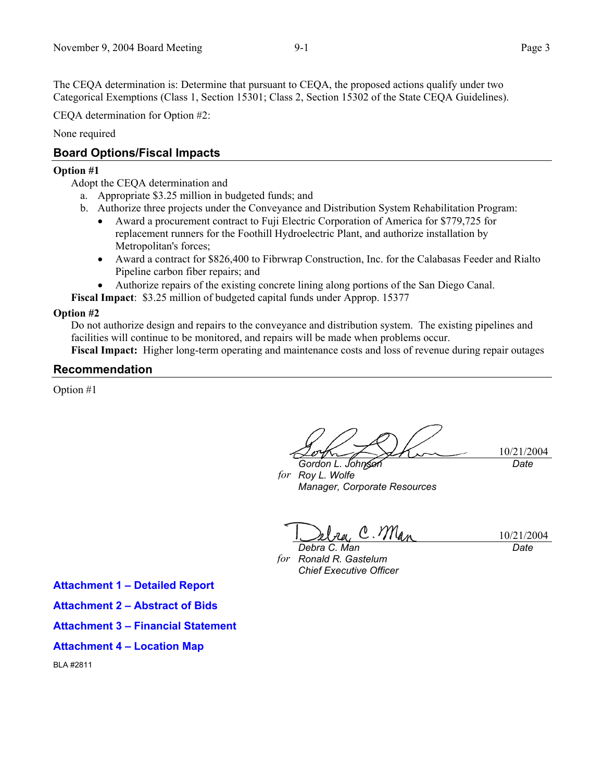The CEQA determination is: Determine that pursuant to CEQA, the proposed actions qualify under two Categorical Exemptions (Class 1, Section 15301; Class 2, Section 15302 of the State CEQA Guidelines).

CEQA determination for Option #2:

None required

## **Board Options/Fiscal Impacts**

#### **Option #1**

Adopt the CEQA determination and

- a. Appropriate \$3.25 million in budgeted funds; and
- b. Authorize three projects under the Conveyance and Distribution System Rehabilitation Program:
	- Award a procurement contract to Fuji Electric Corporation of America for \$779,725 for replacement runners for the Foothill Hydroelectric Plant, and authorize installation by Metropolitan's forces;
	- Award a contract for \$826,400 to Fibrwrap Construction, Inc. for the Calabasas Feeder and Rialto Pipeline carbon fiber repairs; and
	- Authorize repairs of the existing concrete lining along portions of the San Diego Canal.

**Fiscal Impact**: \$3.25 million of budgeted capital funds under Approp. 15377

### **Option #2**

Do not authorize design and repairs to the conveyance and distribution system. The existing pipelines and facilities will continue to be monitored, and repairs will be made when problems occur. **Fiscal Impact:** Higher long-term operating and maintenance costs and loss of revenue during repair outages

## **Recommendation**

Option #1

10/21/2004 *Gordon L. Johnson Date* 

*for Roy L. Wolfe Manager, Corporate Resources* 

 $l_{\text{rel}}$  C. Ma *Debra C. Man* 

10/21/2004 *Date* 

*for Ronald R. Gastelum Chief Executive Officer*

**Attachment 1 – Detailed Report** 

- **Attachment 2 Abstract of Bids**
- **Attachment 3 Financial Statement**
- **Attachment 4 Location Map**

BLA #2811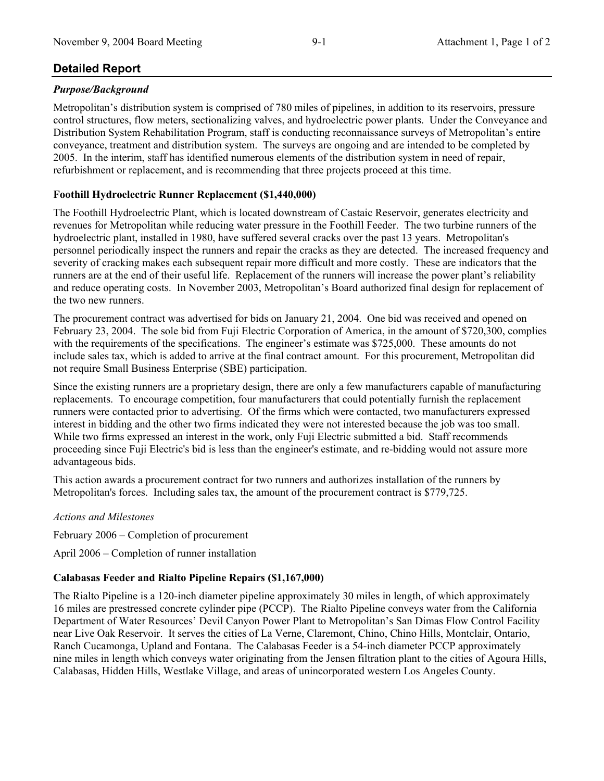## **Detailed Report**

## *Purpose/Background*

Metropolitan's distribution system is comprised of 780 miles of pipelines, in addition to its reservoirs, pressure control structures, flow meters, sectionalizing valves, and hydroelectric power plants. Under the Conveyance and Distribution System Rehabilitation Program, staff is conducting reconnaissance surveys of Metropolitan's entire conveyance, treatment and distribution system. The surveys are ongoing and are intended to be completed by 2005. In the interim, staff has identified numerous elements of the distribution system in need of repair, refurbishment or replacement, and is recommending that three projects proceed at this time.

## **Foothill Hydroelectric Runner Replacement (\$1,440,000)**

The Foothill Hydroelectric Plant, which is located downstream of Castaic Reservoir, generates electricity and revenues for Metropolitan while reducing water pressure in the Foothill Feeder. The two turbine runners of the hydroelectric plant, installed in 1980, have suffered several cracks over the past 13 years. Metropolitan's personnel periodically inspect the runners and repair the cracks as they are detected. The increased frequency and severity of cracking makes each subsequent repair more difficult and more costly. These are indicators that the runners are at the end of their useful life. Replacement of the runners will increase the power plant's reliability and reduce operating costs. In November 2003, Metropolitan's Board authorized final design for replacement of the two new runners.

The procurement contract was advertised for bids on January 21, 2004. One bid was received and opened on February 23, 2004. The sole bid from Fuji Electric Corporation of America, in the amount of \$720,300, complies with the requirements of the specifications. The engineer's estimate was \$725,000. These amounts do not include sales tax, which is added to arrive at the final contract amount. For this procurement, Metropolitan did not require Small Business Enterprise (SBE) participation.

Since the existing runners are a proprietary design, there are only a few manufacturers capable of manufacturing replacements. To encourage competition, four manufacturers that could potentially furnish the replacement runners were contacted prior to advertising. Of the firms which were contacted, two manufacturers expressed interest in bidding and the other two firms indicated they were not interested because the job was too small. While two firms expressed an interest in the work, only Fuji Electric submitted a bid. Staff recommends proceeding since Fuji Electric's bid is less than the engineer's estimate, and re-bidding would not assure more advantageous bids.

This action awards a procurement contract for two runners and authorizes installation of the runners by Metropolitan's forces. Including sales tax, the amount of the procurement contract is \$779,725.

#### *Actions and Milestones*

February 2006 – Completion of procurement

April 2006 – Completion of runner installation

## **Calabasas Feeder and Rialto Pipeline Repairs (\$1,167,000)**

The Rialto Pipeline is a 120-inch diameter pipeline approximately 30 miles in length, of which approximately 16 miles are prestressed concrete cylinder pipe (PCCP). The Rialto Pipeline conveys water from the California Department of Water Resources' Devil Canyon Power Plant to Metropolitan's San Dimas Flow Control Facility near Live Oak Reservoir. It serves the cities of La Verne, Claremont, Chino, Chino Hills, Montclair, Ontario, Ranch Cucamonga, Upland and Fontana. The Calabasas Feeder is a 54-inch diameter PCCP approximately nine miles in length which conveys water originating from the Jensen filtration plant to the cities of Agoura Hills, Calabasas, Hidden Hills, Westlake Village, and areas of unincorporated western Los Angeles County.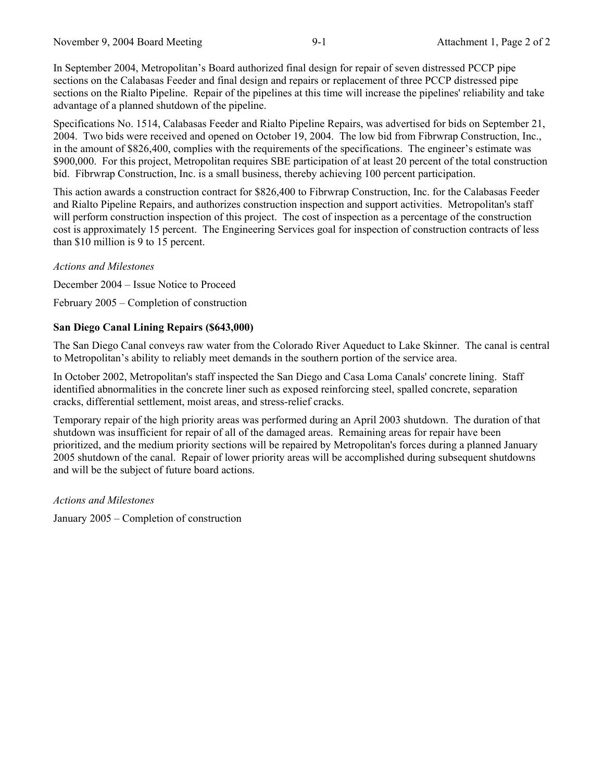In September 2004, Metropolitan's Board authorized final design for repair of seven distressed PCCP pipe sections on the Calabasas Feeder and final design and repairs or replacement of three PCCP distressed pipe sections on the Rialto Pipeline. Repair of the pipelines at this time will increase the pipelines' reliability and take advantage of a planned shutdown of the pipeline.

Specifications No. 1514, Calabasas Feeder and Rialto Pipeline Repairs, was advertised for bids on September 21, 2004. Two bids were received and opened on October 19, 2004. The low bid from Fibrwrap Construction, Inc., in the amount of \$826,400, complies with the requirements of the specifications. The engineer's estimate was \$900,000. For this project, Metropolitan requires SBE participation of at least 20 percent of the total construction bid. Fibrwrap Construction, Inc. is a small business, thereby achieving 100 percent participation.

This action awards a construction contract for \$826,400 to Fibrwrap Construction, Inc. for the Calabasas Feeder and Rialto Pipeline Repairs, and authorizes construction inspection and support activities. Metropolitan's staff will perform construction inspection of this project. The cost of inspection as a percentage of the construction cost is approximately 15 percent. The Engineering Services goal for inspection of construction contracts of less than \$10 million is 9 to 15 percent.

#### *Actions and Milestones*

December 2004 – Issue Notice to Proceed

February 2005 – Completion of construction

#### **San Diego Canal Lining Repairs (\$643,000)**

The San Diego Canal conveys raw water from the Colorado River Aqueduct to Lake Skinner. The canal is central to Metropolitan's ability to reliably meet demands in the southern portion of the service area.

In October 2002, Metropolitan's staff inspected the San Diego and Casa Loma Canals' concrete lining. Staff identified abnormalities in the concrete liner such as exposed reinforcing steel, spalled concrete, separation cracks, differential settlement, moist areas, and stress-relief cracks.

Temporary repair of the high priority areas was performed during an April 2003 shutdown. The duration of that shutdown was insufficient for repair of all of the damaged areas. Remaining areas for repair have been prioritized, and the medium priority sections will be repaired by Metropolitan's forces during a planned January 2005 shutdown of the canal. Repair of lower priority areas will be accomplished during subsequent shutdowns and will be the subject of future board actions.

*Actions and Milestones* 

January 2005 – Completion of construction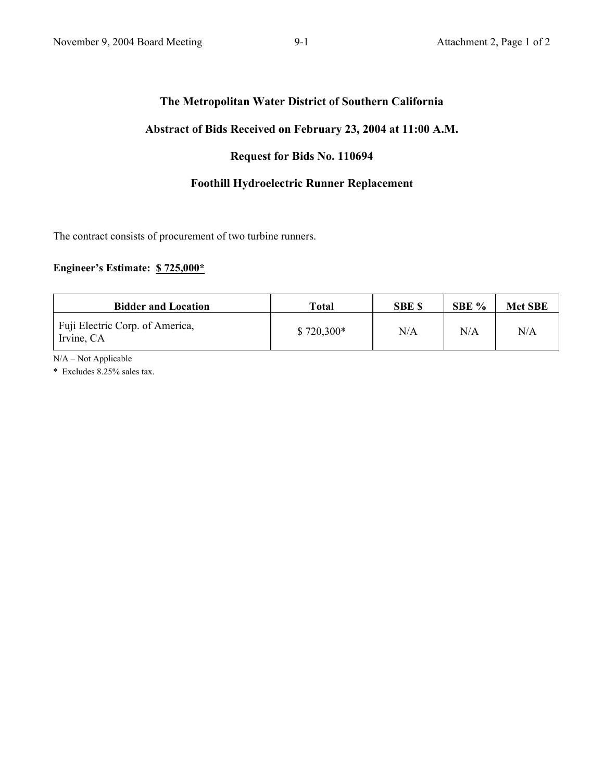## **The Metropolitan Water District of Southern California**

## **Abstract of Bids Received on February 23, 2004 at 11:00 A.M.**

## **Request for Bids No. 110694**

## **Foothill Hydroelectric Runner Replacement**

The contract consists of procurement of two turbine runners.

## **Engineer's Estimate: \$ 725,000\***

| <b>Bidder and Location</b>                    | Total       | <b>SBE \$</b> | SBE $%$ | <b>Met SBE</b> |
|-----------------------------------------------|-------------|---------------|---------|----------------|
| Fuji Electric Corp. of America,<br>Irvine, CA | $$720,300*$ | N/A           | N/A     | N/A            |

N/A – Not Applicable

\* Excludes 8.25% sales tax.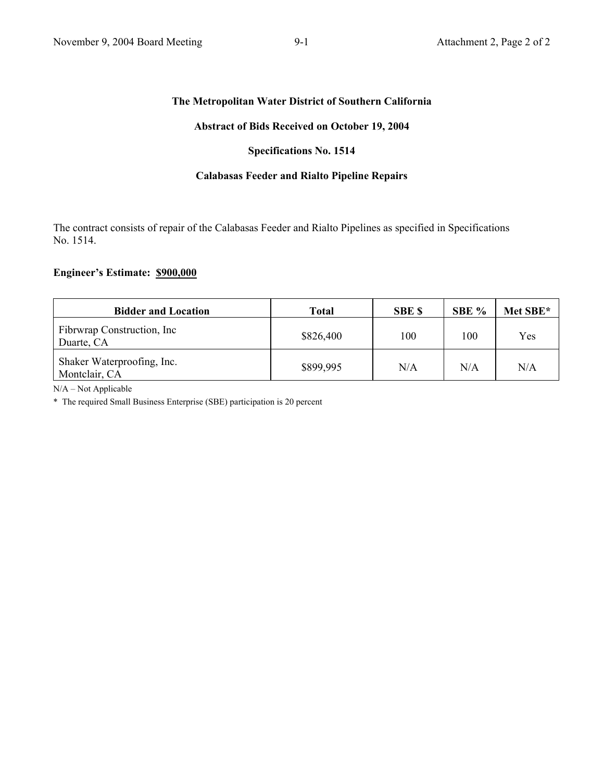#### **The Metropolitan Water District of Southern California**

#### **Abstract of Bids Received on October 19, 2004**

#### **Specifications No. 1514**

## **Calabasas Feeder and Rialto Pipeline Repairs**

The contract consists of repair of the Calabasas Feeder and Rialto Pipelines as specified in Specifications No. 1514.

### **Engineer's Estimate: \$900,000**

| <b>Bidder and Location</b>                  | Total     | <b>SBE \$</b> | SBE % | Met SBE* |
|---------------------------------------------|-----------|---------------|-------|----------|
| Fibrwrap Construction, Inc.<br>Duarte, CA   | \$826,400 | 100           | 100   | Yes      |
| Shaker Waterproofing, Inc.<br>Montclair, CA | \$899,995 | N/A           | N/A   | N/A      |

N/A – Not Applicable

\* The required Small Business Enterprise (SBE) participation is 20 percent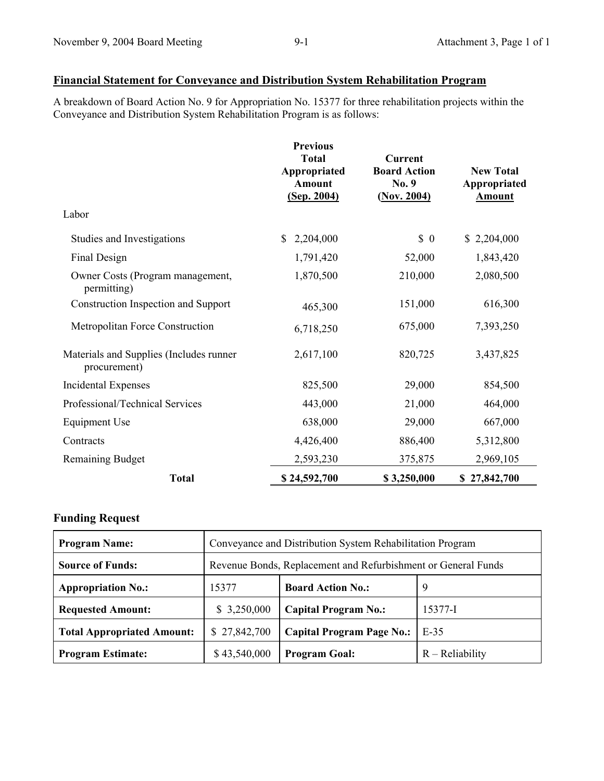## **Financial Statement for Conveyance and Distribution System Rehabilitation Program**

A breakdown of Board Action No. 9 for Appropriation No. 15377 for three rehabilitation projects within the Conveyance and Distribution System Rehabilitation Program is as follows:

|                                                          | <b>Previous</b><br><b>Total</b><br>Appropriated<br><b>Amount</b><br>(Sep. 2004) | Current<br><b>Board Action</b><br>No. 9<br>(Nov. 2004) | <b>New Total</b><br>Appropriated<br><b>Amount</b> |
|----------------------------------------------------------|---------------------------------------------------------------------------------|--------------------------------------------------------|---------------------------------------------------|
| Labor                                                    |                                                                                 |                                                        |                                                   |
| Studies and Investigations                               | 2,204,000<br>S.                                                                 | $\begin{matrix} 0 \end{matrix}$                        | \$2,204,000                                       |
| Final Design                                             | 1,791,420                                                                       | 52,000                                                 | 1,843,420                                         |
| Owner Costs (Program management,<br>permitting)          | 1,870,500                                                                       | 210,000                                                | 2,080,500                                         |
| Construction Inspection and Support                      | 465,300                                                                         | 151,000                                                | 616,300                                           |
| Metropolitan Force Construction                          | 6,718,250                                                                       | 675,000                                                | 7,393,250                                         |
| Materials and Supplies (Includes runner)<br>procurement) | 2,617,100                                                                       | 820,725                                                | 3,437,825                                         |
| <b>Incidental Expenses</b>                               | 825,500                                                                         | 29,000                                                 | 854,500                                           |
| Professional/Technical Services                          | 443,000                                                                         | 21,000                                                 | 464,000                                           |
| <b>Equipment Use</b>                                     | 638,000                                                                         | 29,000                                                 | 667,000                                           |
| Contracts                                                | 4,426,400                                                                       | 886,400                                                | 5,312,800                                         |
| <b>Remaining Budget</b>                                  | 2,593,230                                                                       | 375,875                                                | 2,969,105                                         |
| <b>Total</b>                                             | \$24,592,700                                                                    | \$3,250,000                                            | \$27,842,700                                      |

## **Funding Request**

| <b>Program Name:</b>              | Conveyance and Distribution System Rehabilitation Program     |                                  |                   |  |
|-----------------------------------|---------------------------------------------------------------|----------------------------------|-------------------|--|
| <b>Source of Funds:</b>           | Revenue Bonds, Replacement and Refurbishment or General Funds |                                  |                   |  |
| <b>Appropriation No.:</b>         | 15377                                                         | <b>Board Action No.:</b>         | 9                 |  |
| <b>Requested Amount:</b>          | \$3,250,000                                                   | <b>Capital Program No.:</b>      | 15377-I           |  |
| <b>Total Appropriated Amount:</b> | \$27,842,700                                                  | <b>Capital Program Page No.:</b> | $E-35$            |  |
| <b>Program Estimate:</b>          | \$43,540,000                                                  | <b>Program Goal:</b>             | $R - Reliability$ |  |